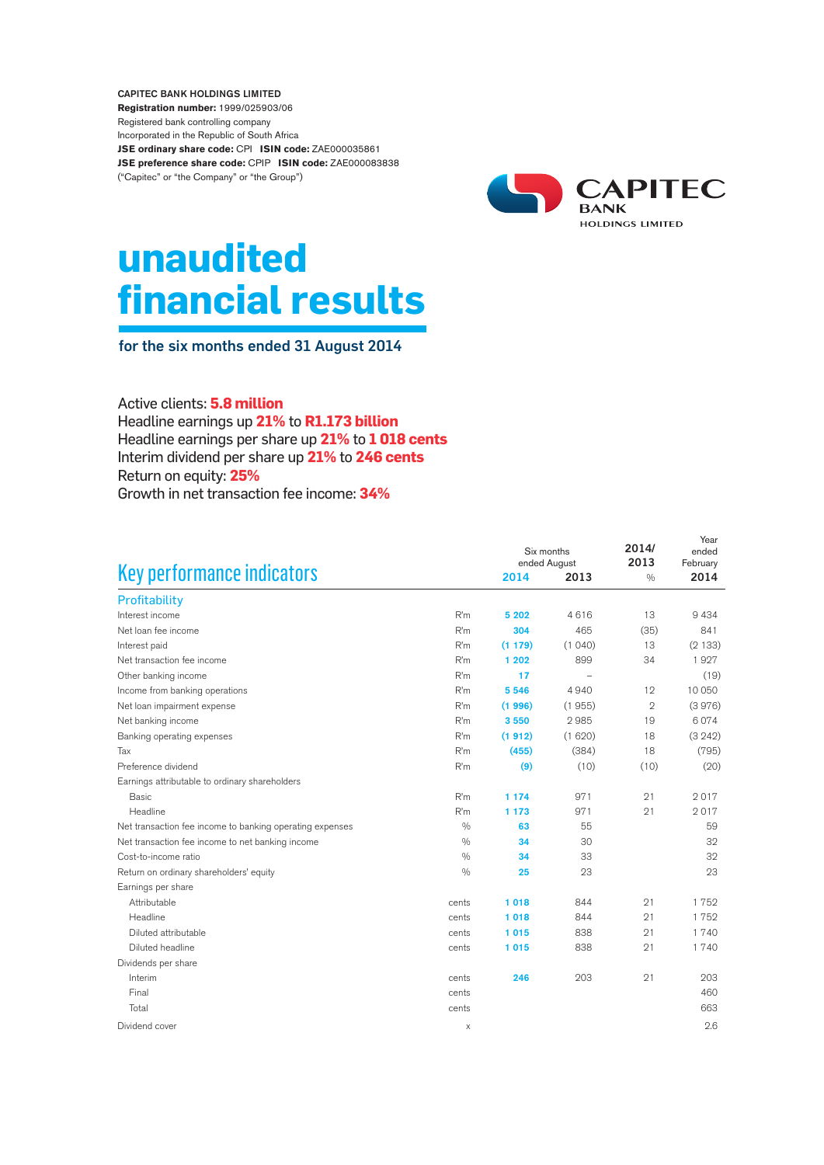CAPITEC BANK HOLDINGS LIMITED **Registration number:** 1999/025903/06 Registered bank controlling company Incorporated in the Republic of South Africa **JSE ordinary share code:** CPI **ISIN code:** ZAE000035861 **JSE preference share code:** CPIP **ISIN code:** ZAE000083838 ("Capitec" or "the Company" or "the Group")



# **unaudited financial results**

for the six months ended 31 August 2014

Active clients: **5.8 million**  Headline earnings up **21%** to **R1.173 billion** Headline earnings per share up **21%** to **1 018 cents** Interim dividend per share up **21%** to **246 cents** Return on equity: **25%** Growth in net transaction fee income: **34%**

|                                                          |       | Six months<br>ended August |        | 2014/<br>2013  | Year<br>ended<br>February |
|----------------------------------------------------------|-------|----------------------------|--------|----------------|---------------------------|
| Key performance indicators                               |       | 2014                       | 2013   | $\frac{0}{0}$  | 2014                      |
| Profitability                                            |       |                            |        |                |                           |
| Interest income                                          | R'm   | 5 20 2                     | 4616   | 13             | 9434                      |
| Net loan fee income                                      | R'm   | 304                        | 465    | (35)           | 841                       |
| Interest paid                                            | R'm   | (1179)                     | (1040) | 13             | (2133)                    |
| Net transaction fee income                               | R'm   | 1 202                      | 899    | 34             | 1927                      |
| Other banking income                                     | R'm   | 17                         |        |                | (19)                      |
| Income from banking operations                           | R'm   | 5 5 4 6                    | 4940   | 12             | 10 050                    |
| Net loan impairment expense                              | R'm   | (1996)                     | (1955) | $\overline{2}$ | (3976)                    |
| Net banking income                                       | R'm   | 3550                       | 2985   | 19             | 6074                      |
| Banking operating expenses                               | R'm   | (1912)                     | (1620) | 18             | (3 242)                   |
| Tax                                                      | R'm   | (455)                      | (384)  | 18             | (795)                     |
| Preference dividend                                      | R'm   | (9)                        | (10)   | (10)           | (20)                      |
| Earnings attributable to ordinary shareholders           |       |                            |        |                |                           |
| <b>Basic</b>                                             | R'm   | 1 1 7 4                    | 971    | 21             | 2017                      |
| Headline                                                 | R'm   | 1 1 7 3                    | 971    | 21             | 2017                      |
| Net transaction fee income to banking operating expenses | 0/0   | 63                         | 55     |                | 59                        |
| Net transaction fee income to net banking income         | 0/0   | 34                         | 30     |                | 32                        |
| Cost-to-income ratio                                     | 0/0   | 34                         | 33     |                | 32                        |
| Return on ordinary shareholders' equity                  | 0/0   | 25                         | 23     |                | 23                        |
| Earnings per share                                       |       |                            |        |                |                           |
| Attributable                                             | cents | 1018                       | 844    | 21             | 1752                      |
| Headline                                                 | cents | 1018                       | 844    | 21             | 1752                      |
| Diluted attributable                                     | cents | 1015                       | 838    | 21             | 1 7 4 0                   |
| Diluted headline                                         | cents | 1015                       | 838    | 21             | 1740                      |
| Dividends per share                                      |       |                            |        |                |                           |
| Interim                                                  | cents | 246                        | 203    | 21             | 203                       |
| Final                                                    | cents |                            |        |                | 460                       |
| Total                                                    | cents |                            |        |                | 663                       |
| Dividend cover                                           | X     |                            |        |                | 2.6                       |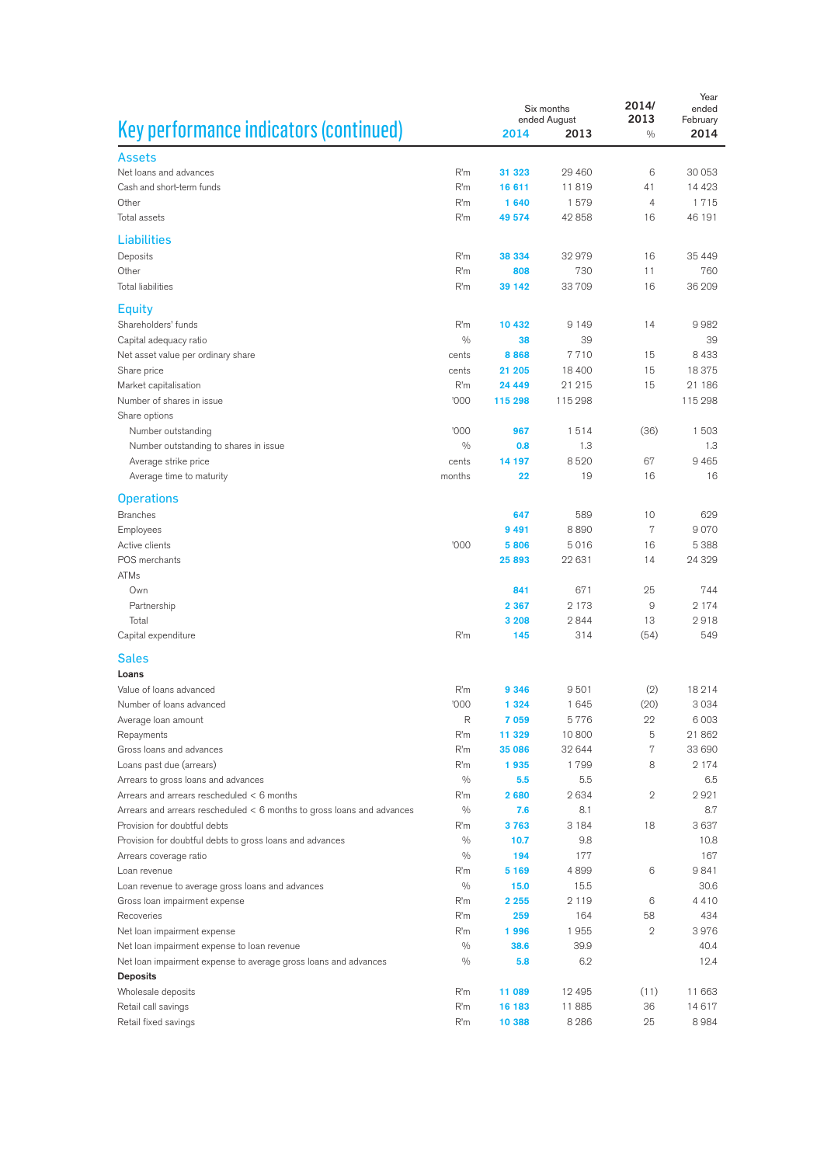|                                                                        | Six months<br>ended August |                 |              | 2014/<br>2013 | Year<br>ended<br>February |
|------------------------------------------------------------------------|----------------------------|-----------------|--------------|---------------|---------------------------|
| Key performance indicators (continued)                                 |                            | 2014            | 2013         | $\frac{0}{0}$ | 2014                      |
| Assets                                                                 |                            |                 |              |               |                           |
| Net loans and advances                                                 | R'm                        | 31 323          | 29 4 60      | 6             | 30 053                    |
| Cash and short-term funds                                              | R'm                        | 16 611          | 11819        | 41            | 14 4 23                   |
| Other                                                                  | R'm                        | 1640            | 1579         | 4             | 1715                      |
| Total assets                                                           | R'm                        | 49 574          | 42 858       | 16            | 46 191                    |
|                                                                        |                            |                 |              |               |                           |
| <b>Liabilities</b>                                                     |                            |                 |              |               |                           |
| Deposits                                                               | R'm                        | 38 334          | 32979        | 16            | 35 4 4 9                  |
| Other<br><b>Total liabilities</b>                                      | R'm<br>R'm                 | 808             | 730<br>33709 | 11<br>16      | 760<br>36 209             |
|                                                                        |                            | 39 142          |              |               |                           |
| <b>Equity</b>                                                          |                            |                 |              |               |                           |
| Shareholders' funds                                                    | R'm                        | 10 432          | 9 1 4 9      | 14            | 9982                      |
| Capital adequacy ratio                                                 | $\frac{0}{0}$              | 38              | 39           |               | 39                        |
| Net asset value per ordinary share                                     | cents                      | 8868            | 7710         | 15            | 8 4 3 3                   |
| Share price                                                            | cents                      | 21 205          | 18 400       | 15            | 18375                     |
| Market capitalisation                                                  | R'm                        | 24 449          | 21 215       | 15            | 21 186                    |
| Number of shares in issue                                              | '000                       | 115 298         | 115 298      |               | 115 298                   |
| Share options                                                          |                            |                 |              |               |                           |
| Number outstanding                                                     | '000                       | 967             | 1514         | (36)          | 1503                      |
| Number outstanding to shares in issue                                  | $\frac{0}{0}$              | 0.8             | 1.3          |               | 1.3                       |
| Average strike price                                                   | cents<br>months            | 14 197<br>22    | 8520<br>19   | 67<br>16      | 9 4 6 5<br>16             |
| Average time to maturity                                               |                            |                 |              |               |                           |
| <b>Operations</b>                                                      |                            |                 |              |               |                           |
| <b>Branches</b>                                                        |                            | 647             | 589          | 10            | 629                       |
| Employees                                                              |                            | 9 4 9 1         | 8890         | 7             | 9070                      |
| Active clients                                                         | '000                       | 5806            | 5016         | 16            | 5 3 8 8                   |
| POS merchants                                                          |                            | 25893           | 22 631       | 14            | 24 3 29                   |
| <b>ATMs</b>                                                            |                            |                 |              |               |                           |
| Own                                                                    |                            | 841             | 671          | 25            | 744                       |
| Partnership                                                            |                            | 2 3 6 7         | 2 1 7 3      | 9             | 2 1 7 4                   |
| Total                                                                  |                            | 3 2 0 8         | 2844         | 13            | 2918                      |
| Capital expenditure                                                    | R'm                        | 145             | 314          | (54)          | 549                       |
| <b>Sales</b>                                                           |                            |                 |              |               |                           |
| Loans                                                                  |                            |                 |              |               |                           |
| Value of loans advanced                                                | R'm                        | 9 3 4 6         | 9501         | (2)           | 18214                     |
| Number of loans advanced                                               | '000                       | 1 3 2 4         | 1645         | (20)          | 3034                      |
| Average loan amount                                                    | R                          | 7059            | 5776         | 22            | 6 0 0 3                   |
| Repayments                                                             | R'm                        | 11 329          | 10800        | 5             | 21862                     |
| Gross loans and advances                                               | R'm                        | 35 086          | 32 644       | 7             | 33 690                    |
| Loans past due (arrears)                                               | R'm                        | 1935            | 1799         | 8             | 2 1 7 4                   |
| Arrears to gross loans and advances                                    | $\frac{0}{0}$              | 5.5             | 5.5          |               | 6.5                       |
| Arrears and arrears rescheduled < 6 months                             | R'm                        | 2680            | 2634         | 2             | 2921                      |
| Arrears and arrears rescheduled < 6 months to gross loans and advances | 0/0                        | 7.6             | 8.1          |               | 8.7                       |
| Provision for doubtful debts                                           | R'm                        | 3763            | 3 1 8 4      | 18            | 3637                      |
| Provision for doubtful debts to gross loans and advances               | $\frac{0}{0}$              | 10.7            | 9.8          |               | 10.8                      |
| Arrears coverage ratio                                                 | $\frac{0}{0}$              | 194             | 177<br>4899  |               | 167<br>9841               |
| Loan revenue                                                           | R'm<br>$\frac{0}{0}$       | 5 1 6 9<br>15.0 | 15.5         | 6             | 30.6                      |
| Loan revenue to average gross loans and advances                       | R'm                        | 2 2 5 5         | 2 1 1 9      | 6             | 4410                      |
| Gross loan impairment expense<br>Recoveries                            | R'm                        | 259             | 164          | 58            | 434                       |
| Net loan impairment expense                                            | R'm                        | 1996            | 1955         | $\mathbf{2}$  | 3976                      |
| Net loan impairment expense to loan revenue                            | $\frac{0}{0}$              | 38.6            | 39.9         |               | 40.4                      |
| Net loan impairment expense to average gross loans and advances        | $\frac{0}{0}$              | 5.8             | 6.2          |               | 12.4                      |
| <b>Deposits</b>                                                        |                            |                 |              |               |                           |
| Wholesale deposits                                                     | R'm                        | 11 089          | 12 4 9 5     | (11)          | 11 663                    |
| Retail call savings                                                    | R'm                        | 16 183          | 11885        | 36            | 14617                     |
| Retail fixed savings                                                   | R'm                        | 10 388          | 8 2 8 6      | 25            | 8984                      |
|                                                                        |                            |                 |              |               |                           |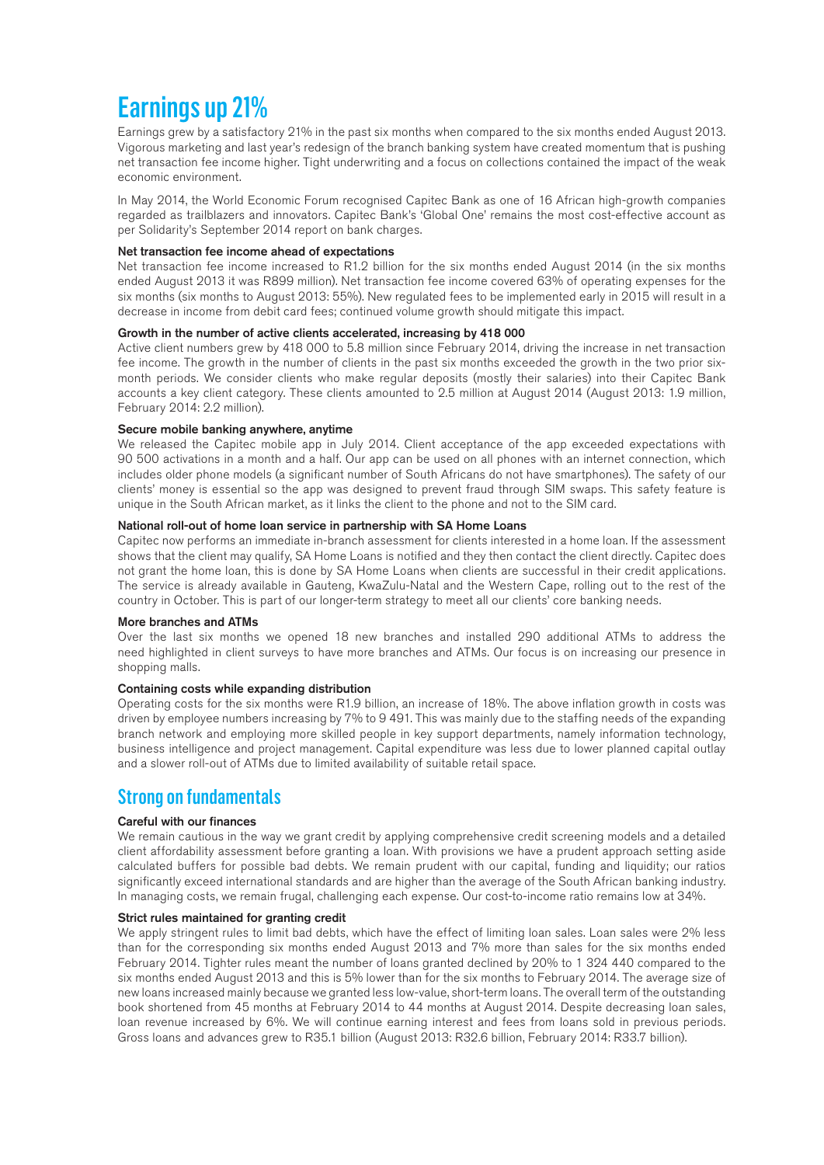## Earnings up 21%

Earnings grew by a satisfactory 21% in the past six months when compared to the six months ended August 2013. Vigorous marketing and last year's redesign of the branch banking system have created momentum that is pushing net transaction fee income higher. Tight underwriting and a focus on collections contained the impact of the weak economic environment.

In May 2014, the World Economic Forum recognised Capitec Bank as one of 16 African high-growth companies regarded as trailblazers and innovators. Capitec Bank's 'Global One' remains the most cost-effective account as per Solidarity's September 2014 report on bank charges.

#### Net transaction fee income ahead of expectations

Net transaction fee income increased to R1.2 billion for the six months ended August 2014 (in the six months ended August 2013 it was R899 million). Net transaction fee income covered 63% of operating expenses for the six months (six months to August 2013: 55%). New regulated fees to be implemented early in 2015 will result in a decrease in income from debit card fees; continued volume growth should mitigate this impact.

#### Growth in the number of active clients accelerated, increasing by 418 000

Active client numbers grew by 418 000 to 5.8 million since February 2014, driving the increase in net transaction fee income. The growth in the number of clients in the past six months exceeded the growth in the two prior sixmonth periods. We consider clients who make regular deposits (mostly their salaries) into their Capitec Bank accounts a key client category. These clients amounted to 2.5 million at August 2014 (August 2013: 1.9 million, February 2014: 2.2 million).

#### Secure mobile banking anywhere, anytime

We released the Capitec mobile app in July 2014. Client acceptance of the app exceeded expectations with 90 500 activations in a month and a half. Our app can be used on all phones with an internet connection, which includes older phone models (a significant number of South Africans do not have smartphones). The safety of our clients' money is essential so the app was designed to prevent fraud through SIM swaps. This safety feature is unique in the South African market, as it links the client to the phone and not to the SIM card.

#### National roll-out of home loan service in partnership with SA Home Loans

Capitec now performs an immediate in-branch assessment for clients interested in a home loan. If the assessment shows that the client may qualify, SA Home Loans is notified and they then contact the client directly. Capitec does not grant the home loan, this is done by SA Home Loans when clients are successful in their credit applications. The service is already available in Gauteng, KwaZulu-Natal and the Western Cape, rolling out to the rest of the country in October. This is part of our longer-term strategy to meet all our clients' core banking needs.

#### More branches and ATMs

Over the last six months we opened 18 new branches and installed 290 additional ATMs to address the need highlighted in client surveys to have more branches and ATMs. Our focus is on increasing our presence in shopping malls.

#### Containing costs while expanding distribution

Operating costs for the six months were R1.9 billion, an increase of 18%. The above inflation growth in costs was driven by employee numbers increasing by 7% to 9 491. This was mainly due to the staffing needs of the expanding branch network and employing more skilled people in key support departments, namely information technology, business intelligence and project management. Capital expenditure was less due to lower planned capital outlay and a slower roll-out of ATMs due to limited availability of suitable retail space.

### Strong on fundamentals

#### Careful with our finances

We remain cautious in the way we grant credit by applying comprehensive credit screening models and a detailed client affordability assessment before granting a loan. With provisions we have a prudent approach setting aside calculated buffers for possible bad debts. We remain prudent with our capital, funding and liquidity; our ratios significantly exceed international standards and are higher than the average of the South African banking industry. In managing costs, we remain frugal, challenging each expense. Our cost-to-income ratio remains low at 34%.

#### Strict rules maintained for granting credit

We apply stringent rules to limit bad debts, which have the effect of limiting loan sales. Loan sales were 2% less than for the corresponding six months ended August 2013 and 7% more than sales for the six months ended February 2014. Tighter rules meant the number of loans granted declined by 20% to 1 324 440 compared to the six months ended August 2013 and this is 5% lower than for the six months to February 2014. The average size of new loans increased mainly because we granted less low-value, short-term loans. The overall term of the outstanding book shortened from 45 months at February 2014 to 44 months at August 2014. Despite decreasing loan sales, loan revenue increased by 6%. We will continue earning interest and fees from loans sold in previous periods. Gross loans and advances grew to R35.1 billion (August 2013: R32.6 billion, February 2014: R33.7 billion).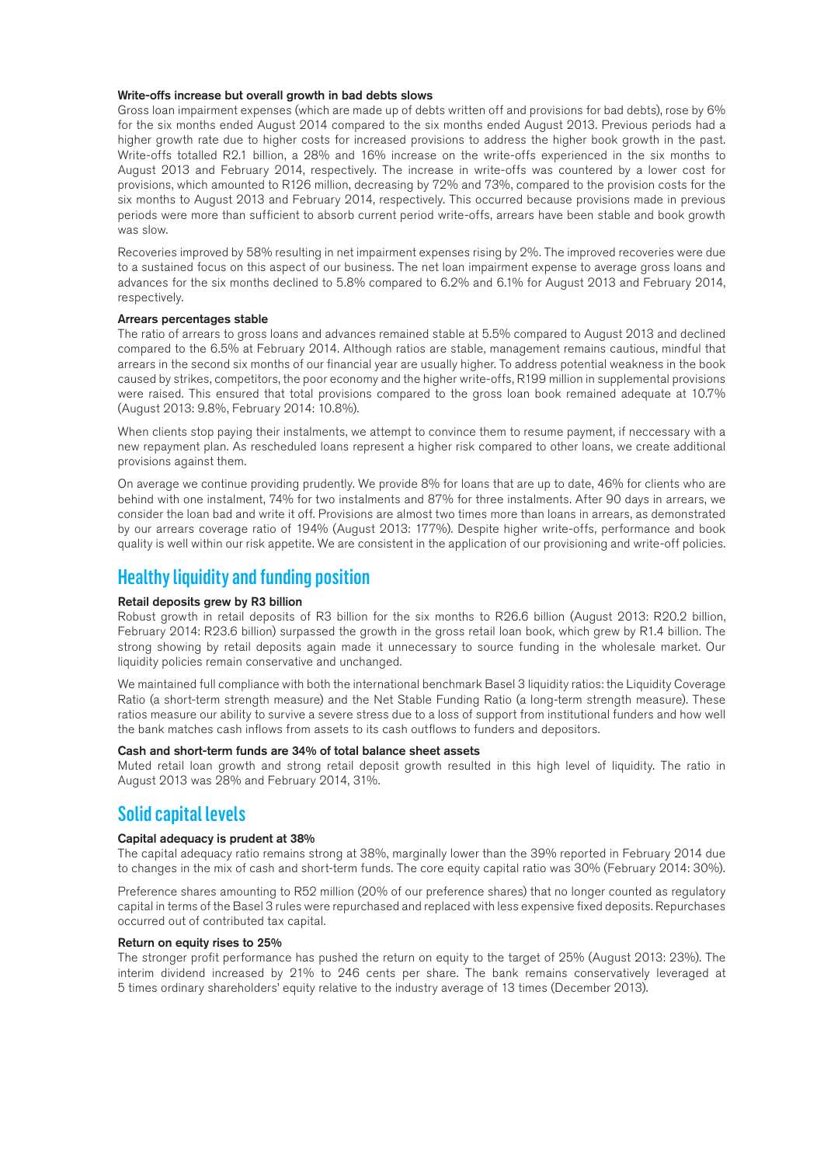#### Write-offs increase but overall growth in bad debts slows

Gross loan impairment expenses (which are made up of debts written off and provisions for bad debts), rose by 6% for the six months ended August 2014 compared to the six months ended August 2013. Previous periods had a higher growth rate due to higher costs for increased provisions to address the higher book growth in the past. Write-offs totalled R2.1 billion, a 28% and 16% increase on the write-offs experienced in the six months to August 2013 and February 2014, respectively. The increase in write-offs was countered by a lower cost for provisions, which amounted to R126 million, decreasing by 72% and 73%, compared to the provision costs for the six months to August 2013 and February 2014, respectively. This occurred because provisions made in previous periods were more than sufficient to absorb current period write-offs, arrears have been stable and book growth was slow.

Recoveries improved by 58% resulting in net impairment expenses rising by 2%. The improved recoveries were due to a sustained focus on this aspect of our business. The net loan impairment expense to average gross loans and advances for the six months declined to 5.8% compared to 6.2% and 6.1% for August 2013 and February 2014, respectively.

#### Arrears percentages stable

The ratio of arrears to gross loans and advances remained stable at 5.5% compared to August 2013 and declined compared to the 6.5% at February 2014. Although ratios are stable, management remains cautious, mindful that arrears in the second six months of our financial year are usually higher. To address potential weakness in the book caused by strikes, competitors, the poor economy and the higher write-offs, R199 million in supplemental provisions were raised. This ensured that total provisions compared to the gross loan book remained adequate at 10.7% (August 2013: 9.8%, February 2014: 10.8%).

When clients stop paying their instalments, we attempt to convince them to resume payment, if neccessary with a new repayment plan. As rescheduled loans represent a higher risk compared to other loans, we create additional provisions against them.

On average we continue providing prudently. We provide 8% for loans that are up to date, 46% for clients who are behind with one instalment, 74% for two instalments and 87% for three instalments. After 90 days in arrears, we consider the loan bad and write it off. Provisions are almost two times more than loans in arrears, as demonstrated by our arrears coverage ratio of 194% (August 2013: 177%). Despite higher write-offs, performance and book quality is well within our risk appetite. We are consistent in the application of our provisioning and write-off policies.

### Healthy liquidity and funding position

#### Retail deposits grew by R3 billion

Robust growth in retail deposits of R3 billion for the six months to R26.6 billion (August 2013: R20.2 billion, February 2014: R23.6 billion) surpassed the growth in the gross retail loan book, which grew by R1.4 billion. The strong showing by retail deposits again made it unnecessary to source funding in the wholesale market. Our liquidity policies remain conservative and unchanged.

We maintained full compliance with both the international benchmark Basel 3 liquidity ratios: the Liquidity Coverage Ratio (a short-term strength measure) and the Net Stable Funding Ratio (a long-term strength measure). These ratios measure our ability to survive a severe stress due to a loss of support from institutional funders and how well the bank matches cash inflows from assets to its cash outflows to funders and depositors.

#### Cash and short-term funds are 34% of total balance sheet assets

Muted retail loan growth and strong retail deposit growth resulted in this high level of liquidity. The ratio in August 2013 was 28% and February 2014, 31%.

## Solid capital levels

#### Capital adequacy is prudent at 38%

The capital adequacy ratio remains strong at 38%, marginally lower than the 39% reported in February 2014 due to changes in the mix of cash and short-term funds. The core equity capital ratio was 30% (February 2014: 30%).

Preference shares amounting to R52 million (20% of our preference shares) that no longer counted as regulatory capital in terms of the Basel 3 rules were repurchased and replaced with less expensive fixed deposits. Repurchases occurred out of contributed tax capital.

#### Return on equity rises to 25%

The stronger profit performance has pushed the return on equity to the target of 25% (August 2013: 23%). The interim dividend increased by 21% to 246 cents per share. The bank remains conservatively leveraged at 5 times ordinary shareholders' equity relative to the industry average of 13 times (December 2013).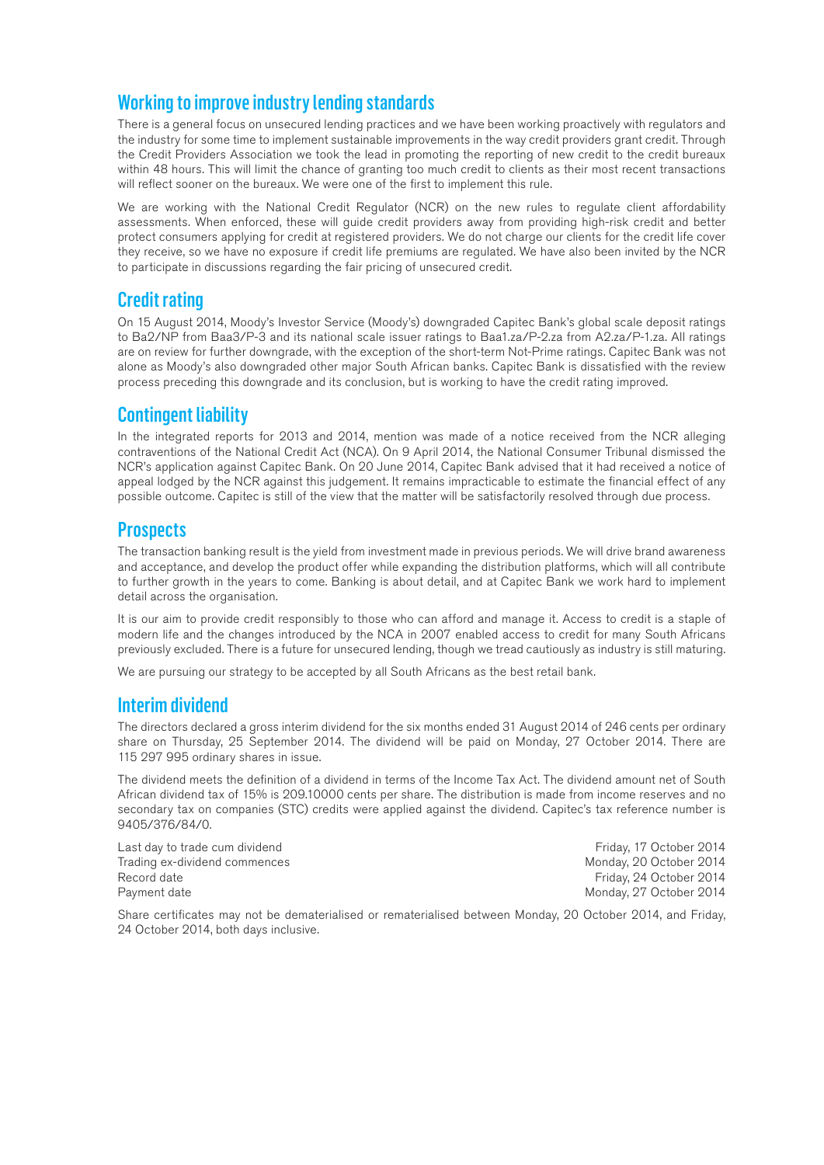## Working to improve industry lending standards

There is a general focus on unsecured lending practices and we have been working proactively with regulators and the industry for some time to implement sustainable improvements in the way credit providers grant credit. Through the Credit Providers Association we took the lead in promoting the reporting of new credit to the credit bureaux within 48 hours. This will limit the chance of granting too much credit to clients as their most recent transactions will reflect sooner on the bureaux. We were one of the first to implement this rule.

We are working with the National Credit Regulator (NCR) on the new rules to regulate client affordability assessments. When enforced, these will guide credit providers away from providing high-risk credit and better protect consumers applying for credit at registered providers. We do not charge our clients for the credit life cover they receive, so we have no exposure if credit life premiums are regulated. We have also been invited by the NCR to participate in discussions regarding the fair pricing of unsecured credit.

## Credit rating

On 15 August 2014, Moody's Investor Service (Moody's) downgraded Capitec Bank's global scale deposit ratings to Ba2/NP from Baa3/P-3 and its national scale issuer ratings to Baa1.za/P-2.za from A2.za/P-1.za. All ratings are on review for further downgrade, with the exception of the short-term Not-Prime ratings. Capitec Bank was not alone as Moody's also downgraded other major South African banks. Capitec Bank is dissatisfied with the review process preceding this downgrade and its conclusion, but is working to have the credit rating improved.

## Contingent liability

In the integrated reports for 2013 and 2014, mention was made of a notice received from the NCR alleging contraventions of the National Credit Act (NCA). On 9 April 2014, the National Consumer Tribunal dismissed the NCR's application against Capitec Bank. On 20 June 2014, Capitec Bank advised that it had received a notice of appeal lodged by the NCR against this judgement. It remains impracticable to estimate the financial effect of any possible outcome. Capitec is still of the view that the matter will be satisfactorily resolved through due process.

## **Prospects**

The transaction banking result is the yield from investment made in previous periods. We will drive brand awareness and acceptance, and develop the product offer while expanding the distribution platforms, which will all contribute to further growth in the years to come. Banking is about detail, and at Capitec Bank we work hard to implement detail across the organisation.

It is our aim to provide credit responsibly to those who can afford and manage it. Access to credit is a staple of modern life and the changes introduced by the NCA in 2007 enabled access to credit for many South Africans previously excluded. There is a future for unsecured lending, though we tread cautiously as industry is still maturing.

We are pursuing our strategy to be accepted by all South Africans as the best retail bank.

## Interim dividend

The directors declared a gross interim dividend for the six months ended 31 August 2014 of 246 cents per ordinary share on Thursday, 25 September 2014. The dividend will be paid on Monday, 27 October 2014. There are 115 297 995 ordinary shares in issue.

The dividend meets the definition of a dividend in terms of the Income Tax Act. The dividend amount net of South African dividend tax of 15% is 209.10000 cents per share. The distribution is made from income reserves and no secondary tax on companies (STC) credits were applied against the dividend. Capitec's tax reference number is 9405/376/84/0.

Last day to trade cum dividend Friday, 17 October 2014 Trading ex-dividend commences and the state of the Monday, 20 October 2014 Record date **Friday, 24 October 2014** Friday, 24 October 2014 Payment date **Monday, 27 October 2014** 

Share certificates may not be dematerialised or rematerialised between Monday, 20 October 2014, and Friday, 24 October 2014, both days inclusive.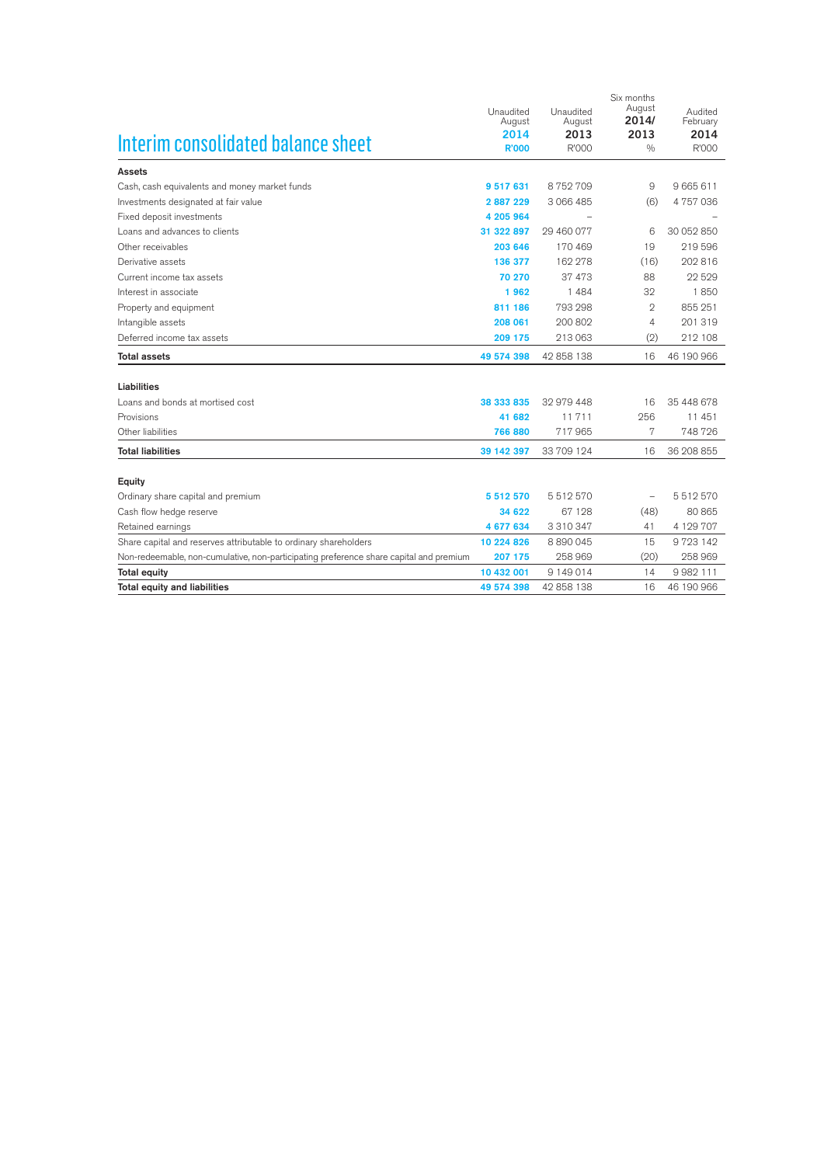|                                                                                        | Unaudited    | Unaudited  | Six months<br>August | Audited       |
|----------------------------------------------------------------------------------------|--------------|------------|----------------------|---------------|
|                                                                                        | August       | August     | 2014/                | February      |
| Interim consolidated balance sheet                                                     | 2014         | 2013       | 2013                 | 2014          |
|                                                                                        | <b>R'000</b> | R'000      | 0/0                  | R'000         |
| <b>Assets</b>                                                                          |              |            |                      |               |
| Cash, cash equivalents and money market funds                                          | 9 517 631    | 8752709    | 9                    | 9 665 611     |
| Investments designated at fair value                                                   | 2887229      | 3 066 485  | (6)                  | 4757036       |
| Fixed deposit investments                                                              | 4 205 964    |            |                      |               |
| Loans and advances to clients                                                          | 31 322 897   | 29 460 077 | 6                    | 30 052 850    |
| Other receivables                                                                      | 203 646      | 170469     | 19                   | 219 596       |
| Derivative assets                                                                      | 136 377      | 162 278    | (16)                 | 202 816       |
| Current income tax assets                                                              | 70 270       | 37 473     | 88                   | 22529         |
| Interest in associate                                                                  | 1962         | 1484       | 32                   | 1850          |
| Property and equipment                                                                 | 811 186      | 793 298    | $\overline{2}$       | 855 251       |
| Intangible assets                                                                      | 208 061      | 200 802    | 4                    | 201 319       |
| Deferred income tax assets                                                             | 209 175      | 213 063    | (2)                  | 212 108       |
| <b>Total assets</b>                                                                    | 49 574 398   | 42 858 138 | 16                   | 46 190 966    |
|                                                                                        |              |            |                      |               |
| Liabilities                                                                            |              |            |                      |               |
| Loans and bonds at mortised cost                                                       | 38 333 835   | 32 979 448 | 16                   | 35 448 678    |
| Provisions                                                                             | 41 682       | 11711      | 256                  | 11 451        |
| Other liabilities                                                                      | 766 880      | 717965     | 7                    | 748726        |
| <b>Total liabilities</b>                                                               | 39 142 397   | 33 709 124 | 16                   | 36 208 855    |
| Equity                                                                                 |              |            |                      |               |
| Ordinary share capital and premium                                                     | 5 512 570    | 5512570    |                      | 5512570       |
| Cash flow hedge reserve                                                                | 34 622       | 67 1 28    | (48)                 | 80 865        |
| Retained earnings                                                                      | 4 677 634    | 3 310 347  | 41                   | 4 129 707     |
| Share capital and reserves attributable to ordinary shareholders                       | 10 224 826   | 8890045    | 15                   | 9723142       |
| Non-redeemable, non-cumulative, non-participating preference share capital and premium | 207 175      | 258 969    | (20)                 | 258 969       |
| <b>Total equity</b>                                                                    | 10 432 001   | 9 149 014  | 14                   | 9 9 8 2 1 1 1 |
| <b>Total equity and liabilities</b>                                                    | 49 574 398   | 42 858 138 | 16                   | 46 190 966    |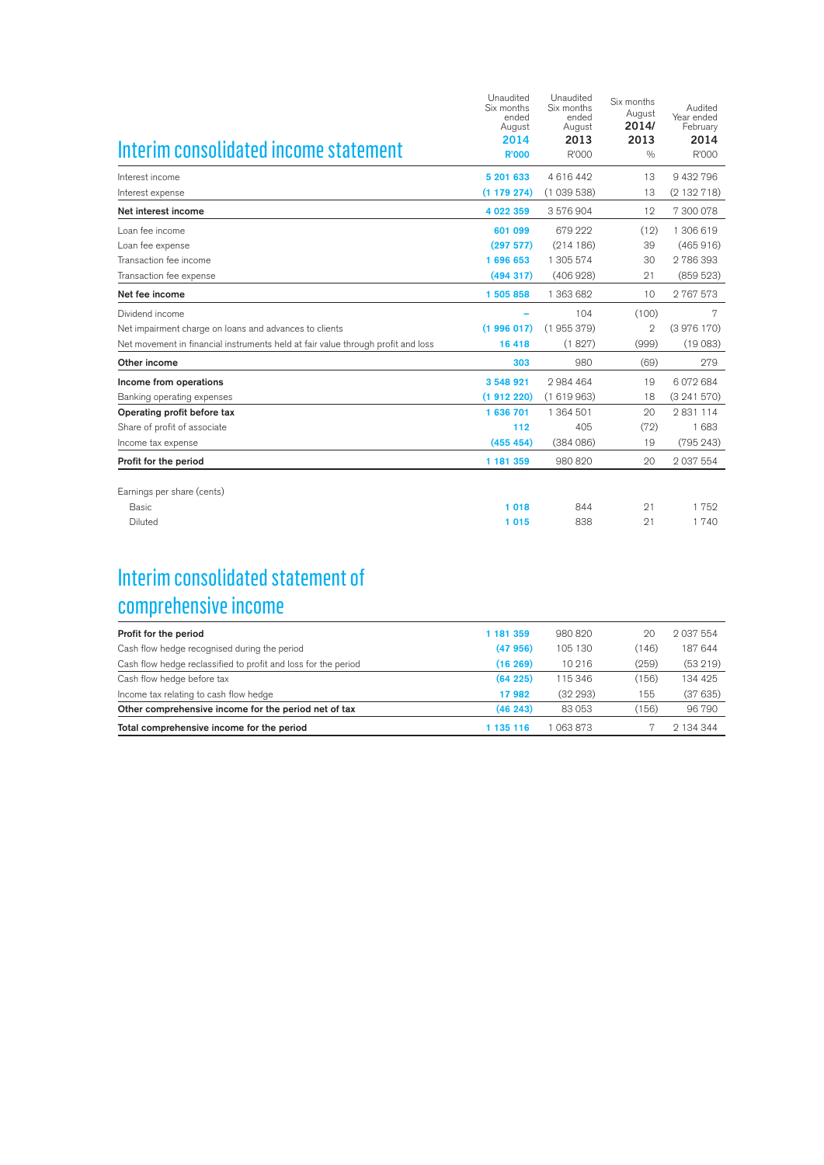| Interim consolidated income statement                                            | Unaudited<br>Six months<br>ended<br>August<br>2014<br><b>R'000</b> | Unaudited<br>Six months<br>ended<br>August<br>2013<br>R'000 | Six months<br>August<br>2014/<br>2013<br>0/0 | Audited<br>Year ended<br>February<br>2014<br>R'000 |
|----------------------------------------------------------------------------------|--------------------------------------------------------------------|-------------------------------------------------------------|----------------------------------------------|----------------------------------------------------|
| Interest income                                                                  | 5 201 633                                                          | 4616442                                                     | 13                                           | 9 432 796                                          |
| Interest expense                                                                 | (1179274)                                                          | (1039538)                                                   | 13                                           | (2132718)                                          |
| Net interest income                                                              | 4 022 359                                                          | 3576904                                                     | 12                                           | 7 300 078                                          |
| Loan fee income                                                                  | 601 099                                                            | 679 222                                                     | (12)                                         | 1 306 619                                          |
| Loan fee expense                                                                 | (297 577)                                                          | (214186)                                                    | 39                                           | (465916)                                           |
| Transaction fee income                                                           | 1 696 653                                                          | 1 305 574                                                   | 30                                           | 2786393                                            |
| Transaction fee expense                                                          | (494317)                                                           | (406928)                                                    | 21                                           | (859523)                                           |
| Net fee income                                                                   | 1 505 858                                                          | 1 363 682                                                   | 10                                           | 2767573                                            |
| Dividend income                                                                  |                                                                    | 104                                                         | (100)                                        | 7                                                  |
| Net impairment charge on loans and advances to clients                           | (1996017)                                                          | (1955379)                                                   | $\mathbf{2}$                                 | (3976170)                                          |
| Net movement in financial instruments held at fair value through profit and loss | 16 418                                                             | (1827)                                                      | (999)                                        | (19083)                                            |
| Other income                                                                     | 303                                                                | 980                                                         | (69)                                         | 279                                                |
| Income from operations                                                           | 3 548 921                                                          | 2984464                                                     | 19                                           | 6 072 684                                          |
| Banking operating expenses                                                       | (1912220)                                                          | (1619963)                                                   | 18                                           | (3241570)                                          |
| Operating profit before tax                                                      | 1 636 701                                                          | 1 364 501                                                   | 20                                           | 2831114                                            |
| Share of profit of associate                                                     | 112                                                                | 405                                                         | (72)                                         | 1683                                               |
| Income tax expense                                                               | (455 454)                                                          | (384086)                                                    | 19                                           | (795 243)                                          |
| Profit for the period                                                            | 1 181 359                                                          | 980 820                                                     | 20                                           | 2 037 554                                          |
| Earnings per share (cents)                                                       |                                                                    |                                                             |                                              |                                                    |
| <b>Basic</b>                                                                     | 1 0 1 8                                                            | 844                                                         | 21                                           | 1752                                               |
| Diluted                                                                          | 1015                                                               | 838                                                         | 21                                           | 1740                                               |

## Interim consolidated statement of comprehensive income

| Profit for the period                                          | 1 181 359 | 980820   | 20    | 2 037 554 |
|----------------------------------------------------------------|-----------|----------|-------|-----------|
| Cash flow hedge recognised during the period                   | (47956)   | 105 130  | (146) | 187 644   |
| Cash flow hedge reclassified to profit and loss for the period | (16269)   | 10 216   | (259) | (53219)   |
| Cash flow hedge before tax                                     | (64225)   | 115 346  | (156) | 134 425   |
| Income tax relating to cash flow hedge                         | 17982     | (32 293) | 155   | (37635)   |
| Other comprehensive income for the period net of tax           | (46243)   | 83053    | (156) | 96790     |
| Total comprehensive income for the period                      | 135 116   | 063873   |       | 2 134 344 |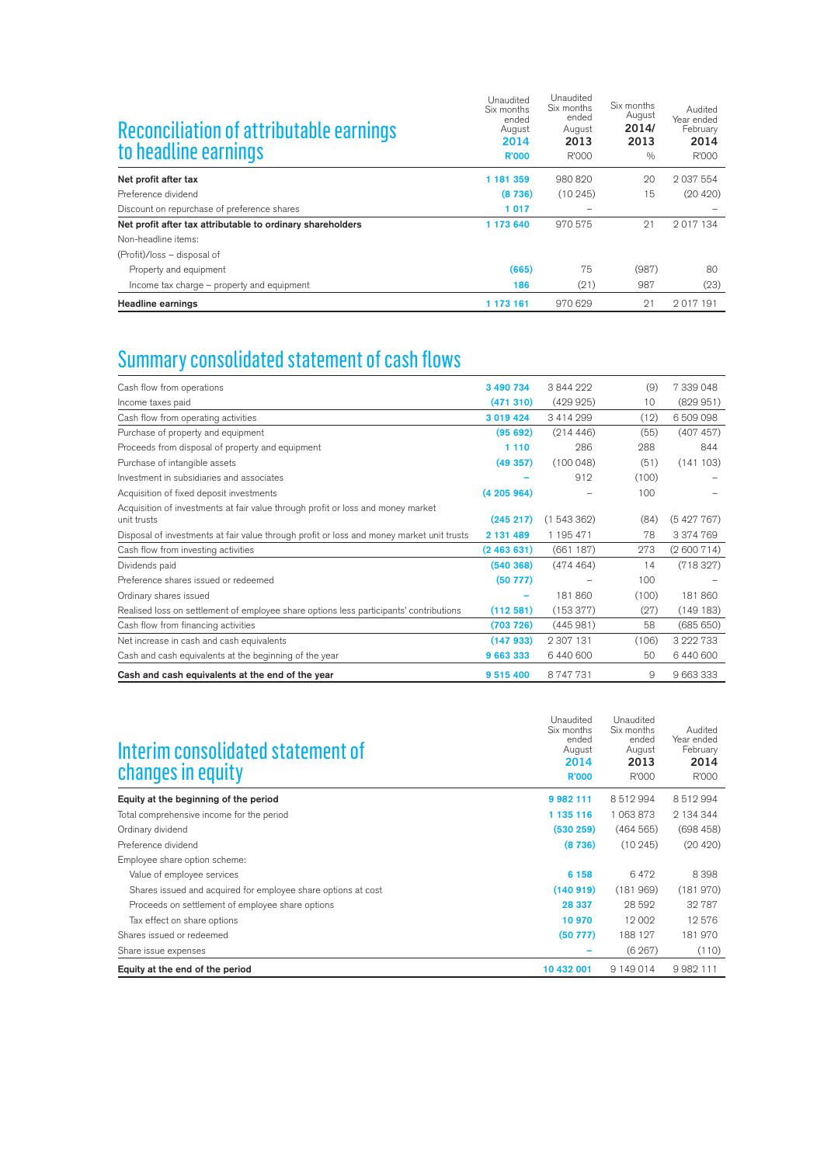| Reconciliation of attributable earnings<br>to headline earnings | Unaudited<br>Six months<br>ended<br>August<br>2014<br><b>R'000</b> | Unaudited<br>Six months<br>ended<br>August<br>2013<br>R'000 | Six months<br>August<br>2014/<br>2013<br>0/0 | Audited<br>Year ended<br>February<br>2014<br>R'000 |
|-----------------------------------------------------------------|--------------------------------------------------------------------|-------------------------------------------------------------|----------------------------------------------|----------------------------------------------------|
| Net profit after tax                                            | 1 181 359                                                          | 980820                                                      | 20                                           | 2 037 554                                          |
| Preference dividend                                             | (8736)                                                             | (10245)                                                     | 15                                           | (20 420)                                           |
| Discount on repurchase of preference shares                     | 1017                                                               | $\overline{\phantom{0}}$                                    |                                              |                                                    |
| Net profit after tax attributable to ordinary shareholders      | 1 173 640                                                          | 970 575                                                     | 21                                           | 2017134                                            |
| Non-headline items:                                             |                                                                    |                                                             |                                              |                                                    |
| (Profit)/loss – disposal of                                     |                                                                    |                                                             |                                              |                                                    |
| Property and equipment                                          | (665)                                                              | 75                                                          | (987)                                        | 80                                                 |
| Income tax charge - property and equipment                      | 186                                                                | (21)                                                        | 987                                          | (23)                                               |
| <b>Headline earnings</b>                                        | 1 173 161                                                          | 970629                                                      | 21                                           | 2017191                                            |

# Summary consolidated statement of cash flows

| 3 490 734 | 3844999   | (9)   | 7 339 048 |
|-----------|-----------|-------|-----------|
| (471310)  | (429925)  | 10    | (829951)  |
| 3 019 424 | 3414999   | (12)  | 6509098   |
| (95692)   | (214446)  | (55)  | (407 457) |
| 1 1 1 0   | 286       | 288   | 844       |
| (49357)   | (100048)  | (51)  | (141103)  |
|           | 912       | (100) |           |
| (4205964) |           | 100   |           |
|           |           |       |           |
| (245 217) | (1543362) | (84)  | (5427767) |
| 2 131 489 | 1 195 471 | 78    | 3 374 769 |
| (2463631) | (661 187) | 273   | (2600714) |
| (540 368) | (474464)  | 14    | (718327)  |
| (50 777)  |           | 100   |           |
|           | 181860    | (100) | 181860    |
| (112581)  | (153377)  | (27)  | (149183)  |
| (703 726) | (445981)  | 58    | (685650)  |
| (147933)  | 2 307 131 | (106) | 3 222 733 |
| 9 663 333 | 6440600   | 50    | 6440600   |
| 9 515 400 | 8747731   | 9     | 9 663 333 |
|           |           |       |           |

| Interim consolidated statement of<br>changes in equity        | Unaudited<br>Six months<br>ended<br>August<br>2014<br><b>R'000</b> | Unaudited<br>Six months<br>ended<br>August<br>2013<br>R'000 | Audited<br>Year ended<br>February<br>2014<br>R'000 |
|---------------------------------------------------------------|--------------------------------------------------------------------|-------------------------------------------------------------|----------------------------------------------------|
| Equity at the beginning of the period                         | 9 982 111                                                          | 8512994                                                     | 8512994                                            |
| Total comprehensive income for the period                     | 1 135 116                                                          | 1 063 873                                                   | 2 134 344                                          |
| Ordinary dividend                                             | (530 259)                                                          | (464565)                                                    | (698458)                                           |
| Preference dividend                                           | (8736)                                                             | (10245)                                                     | (20 420)                                           |
| Employee share option scheme:                                 |                                                                    |                                                             |                                                    |
| Value of employee services                                    | 6 1 5 8                                                            | 6472                                                        | 8398                                               |
| Shares issued and acquired for employee share options at cost | (140919)                                                           | (181969)                                                    | (181970)                                           |
| Proceeds on settlement of employee share options              | 28 337                                                             | 28 592                                                      | 32787                                              |
| Tax effect on share options                                   | 10 970                                                             | 12 002                                                      | 12576                                              |
| Shares issued or redeemed                                     | (50 777)                                                           | 188 127                                                     | 181970                                             |
| Share issue expenses                                          |                                                                    | (6267)                                                      | (110)                                              |
| Equity at the end of the period                               | 10 432 001                                                         | 9 149 014                                                   | 9 9 8 2 1 1 1                                      |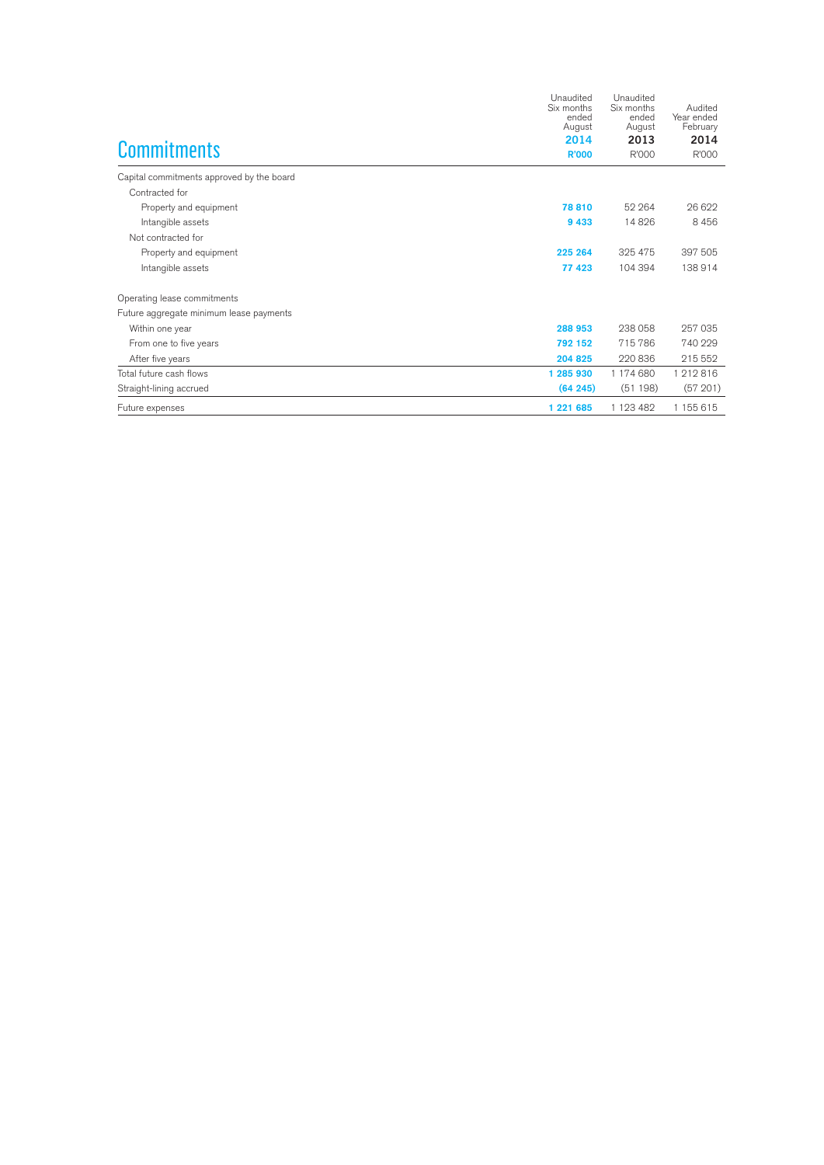|                                           | Unaudited<br>Six months<br>ended<br>August<br>2014 | Unaudited<br>Six months<br>ended<br>August<br>2013 | Audited<br>Year ended<br>February<br>2014 |
|-------------------------------------------|----------------------------------------------------|----------------------------------------------------|-------------------------------------------|
| <b>Commitments</b>                        | <b>R'000</b>                                       | R'000                                              | R'000                                     |
| Capital commitments approved by the board |                                                    |                                                    |                                           |
| Contracted for                            |                                                    |                                                    |                                           |
| Property and equipment                    | 78 810                                             | 52 264                                             | 26.622                                    |
| Intangible assets                         | 9 4 3 3                                            | 14826                                              | 8456                                      |
| Not contracted for                        |                                                    |                                                    |                                           |
| Property and equipment                    | 225 264                                            | 325 475                                            | 397 505                                   |
| Intangible assets                         | 77 423                                             | 104 394                                            | 138914                                    |
| Operating lease commitments               |                                                    |                                                    |                                           |
| Future aggregate minimum lease payments   |                                                    |                                                    |                                           |
| Within one year                           | 288 953                                            | 238 058                                            | 257 035                                   |
| From one to five years                    | 792 152                                            | 715786                                             | 740 229                                   |
| After five years                          | 204 825                                            | 220 836                                            | 215 552                                   |
| Total future cash flows                   | 1 285 930                                          | 1 174 680                                          | 1212816                                   |
| Straight-lining accrued                   | (64245)                                            | (51198)                                            | (57201)                                   |
| Future expenses                           | 1 221 685                                          | 1 1 2 3 4 8 2                                      | 1 155 615                                 |